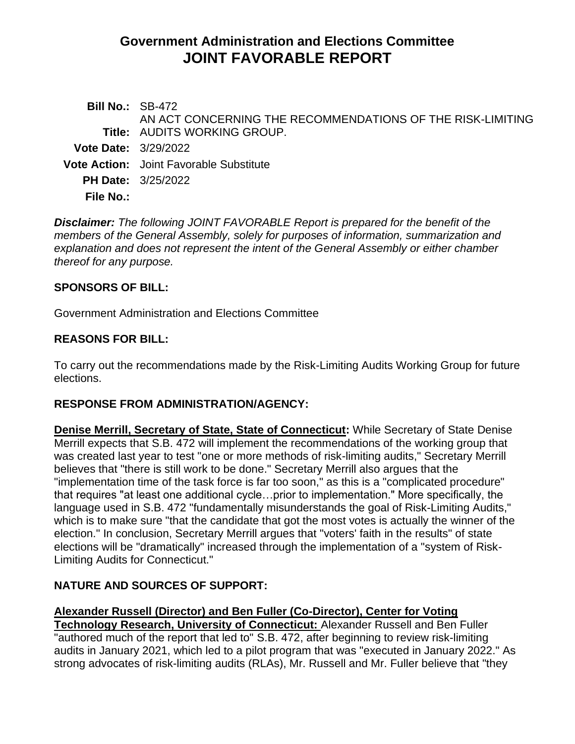# **Government Administration and Elections Committee JOINT FAVORABLE REPORT**

| <b>Bill No.: SB-472</b>     |                                                                                                   |
|-----------------------------|---------------------------------------------------------------------------------------------------|
|                             | AN ACT CONCERNING THE RECOMMENDATIONS OF THE RISK-LIMITING<br><b>Title: AUDITS WORKING GROUP.</b> |
| <b>Vote Date: 3/29/2022</b> |                                                                                                   |
|                             | <b>Vote Action:</b> Joint Favorable Substitute                                                    |
|                             | <b>PH Date:</b> 3/25/2022                                                                         |
| <b>File No.:</b>            |                                                                                                   |
|                             |                                                                                                   |

*Disclaimer: The following JOINT FAVORABLE Report is prepared for the benefit of the members of the General Assembly, solely for purposes of information, summarization and explanation and does not represent the intent of the General Assembly or either chamber thereof for any purpose.*

#### **SPONSORS OF BILL:**

Government Administration and Elections Committee

## **REASONS FOR BILL:**

To carry out the recommendations made by the Risk-Limiting Audits Working Group for future elections.

#### **RESPONSE FROM ADMINISTRATION/AGENCY:**

**Denise Merrill, Secretary of State, State of Connecticut:** While Secretary of State Denise Merrill expects that [S.B. 472](https://www.cga.ct.gov/2022/TOB/S/PDF/2022SB-00472-R00-SB.PDF) will implement the recommendations of the working group that was created last year to test "one or more methods of risk-limiting audits," Secretary Merrill believes that "there is still work to be done." Secretary Merrill also argues that the "implementation time of the task force is far too soon," as this is a "complicated procedure" that requires "at least one additional cycle…prior to implementation." More specifically, the language used in [S.B. 472](https://www.cga.ct.gov/2022/TOB/S/PDF/2022SB-00472-R00-SB.PDF) "fundamentally misunderstands the goal of Risk-Limiting Audits," which is to make sure "that the candidate that got the most votes is actually the winner of the election." In conclusion, Secretary Merrill argues that "voters' faith in the results" of state elections will be "dramatically" increased through the implementation of a "system of Risk-Limiting Audits for Connecticut."

## **NATURE AND SOURCES OF SUPPORT:**

## **Alexander Russell (Director) and Ben Fuller (Co-Director), Center for Voting**

**Technology Research, University of Connecticut:** Alexander Russell and Ben Fuller "authored much of the report that led to" [S.B. 472,](https://www.cga.ct.gov/2022/TOB/S/PDF/2022SB-00472-R00-SB.PDF) after beginning to review risk-limiting audits in January 2021, which led to a pilot program that was "executed in January 2022." As strong advocates of risk-limiting audits (RLAs), Mr. Russell and Mr. Fuller believe that "they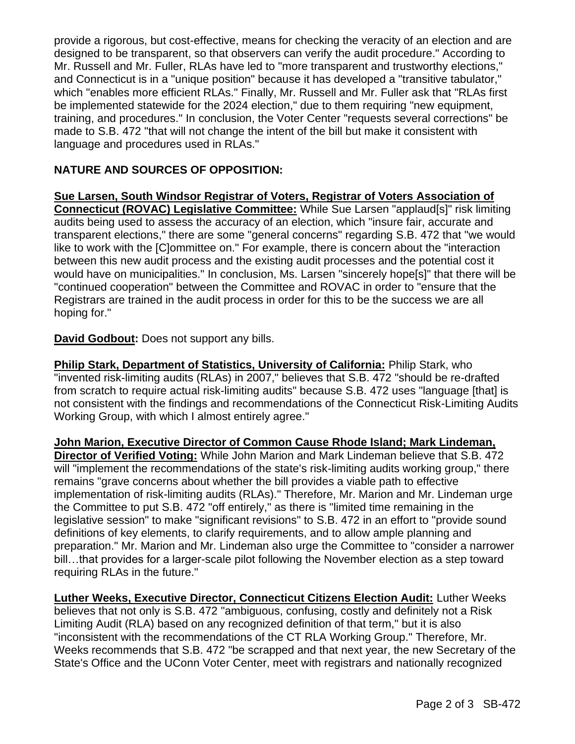provide a rigorous, but cost-effective, means for checking the veracity of an election and are designed to be transparent, so that observers can verify the audit procedure." According to Mr. Russell and Mr. Fuller, RLAs have led to "more transparent and trustworthy elections," and Connecticut is in a "unique position" because it has developed a "transitive tabulator," which "enables more efficient RLAs." Finally, Mr. Russell and Mr. Fuller ask that "RLAs first be implemented statewide for the 2024 election," due to them requiring "new equipment, training, and procedures." In conclusion, the Voter Center "requests several corrections" be made to [S.B. 472](https://www.cga.ct.gov/2022/TOB/S/PDF/2022SB-00472-R00-SB.PDF) "that will not change the intent of the bill but make it consistent with language and procedures used in RLAs."

## **NATURE AND SOURCES OF OPPOSITION:**

**Sue Larsen, South Windsor Registrar of Voters, Registrar of Voters Association of Connecticut (ROVAC) Legislative Committee:** While Sue Larsen "applaud[s]" risk limiting audits being used to assess the accuracy of an election, which "insure fair, accurate and transparent elections," there are some "general concerns" regarding [S.B. 472](https://www.cga.ct.gov/2022/TOB/S/PDF/2022SB-00472-R00-SB.PDF) that "we would like to work with the [C]ommittee on." For example, there is concern about the "interaction between this new audit process and the existing audit processes and the potential cost it would have on municipalities." In conclusion, Ms. Larsen "sincerely hope[s]" that there will be "continued cooperation" between the Committee and ROVAC in order to "ensure that the Registrars are trained in the audit process in order for this to be the success we are all hoping for."

**David Godbout:** Does not support any bills.

**Philip Stark, Department of Statistics, University of California:** Philip Stark, who "invented risk-limiting audits (RLAs) in 2007," believes that [S.B. 472](https://www.cga.ct.gov/2022/TOB/S/PDF/2022SB-00472-R00-SB.PDF) "should be re-drafted from scratch to require actual risk-limiting audits" because [S.B. 472](https://www.cga.ct.gov/2022/TOB/S/PDF/2022SB-00472-R00-SB.PDF) uses "language [that] is not consistent with the findings and recommendations of the Connecticut Risk-Limiting Audits Working Group, with which I almost entirely agree."

**John Marion, Executive Director of Common Cause Rhode Island; Mark Lindeman, Director of Verified Voting:** While John Marion and Mark Lindeman believe that [S.B. 472](https://www.cga.ct.gov/2022/TOB/S/PDF/2022SB-00472-R00-SB.PDF) will "implement the recommendations of the state's risk-limiting audits working group," there remains "grave concerns about whether the bill provides a viable path to effective implementation of risk-limiting audits (RLAs)." Therefore, Mr. Marion and Mr. Lindeman urge the Committee to put [S.B. 472](https://www.cga.ct.gov/2022/TOB/S/PDF/2022SB-00472-R00-SB.PDF) "off entirely," as there is "limited time remaining in the legislative session" to make "significant revisions" to [S.B. 472](https://www.cga.ct.gov/2022/TOB/S/PDF/2022SB-00472-R00-SB.PDF) in an effort to "provide sound definitions of key elements, to clarify requirements, and to allow ample planning and preparation." Mr. Marion and Mr. Lindeman also urge the Committee to "consider a narrower bill…that provides for a larger-scale pilot following the November election as a step toward requiring RLAs in the future."

**Luther Weeks, Executive Director, Connecticut Citizens Election Audit:** Luther Weeks believes that not only is [S.B. 472](https://www.cga.ct.gov/2022/TOB/S/PDF/2022SB-00472-R00-SB.PDF) "ambiguous, confusing, costly and definitely not a Risk Limiting Audit (RLA) based on any recognized definition of that term," but it is also "inconsistent with the recommendations of the CT RLA Working Group." Therefore, Mr. Weeks recommends that [S.B. 472](https://www.cga.ct.gov/2022/TOB/S/PDF/2022SB-00472-R00-SB.PDF) "be scrapped and that next year, the new Secretary of the State's Office and the UConn Voter Center, meet with registrars and nationally recognized